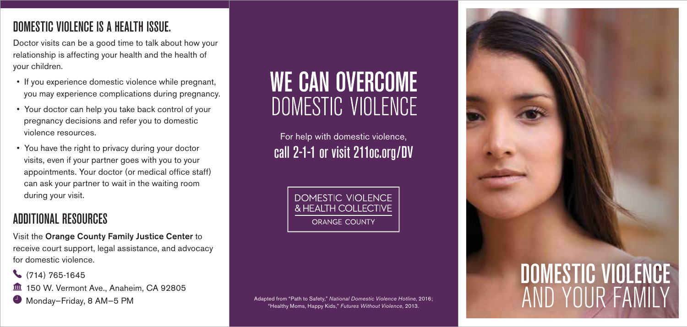# DOMESTIC VIOLENCE IS A HEALTH ISSUE.

Doctor visits can be a good time to talk about how your relationship is affecting your health and the health of your children.

- If you experience domestic violence while pregnant, you may experience complications during pregnancy.
- Your doctor can help you take back control of your pregnancy decisions and refer you to domestic violence resources.
- You have the right to privacy during your doctor visits, even if your partner goes with you to your appointments. Your doctor (or medical office staff) can ask your partner to wait in the waiting room during your visit.

# ADDITIONAL RESOURCES

Visit the Orange County Family Justice Center to receive court support, legal assistance, and advocacy for domestic violence.

 $\binom{714}{765.1645}$ 

- **150 W. Vermont Ave., Anaheim, CA 92805**
- $\bullet$  Monday-Friday, 8 AM-5 PM

# **WE CAN OVERCOME** DOMESTIC VIOLENCE

For help with domestic violence, call 2-1-1 or visit 211oc.org/DV

> DOMESTIC VIOLENCE & HEALTH COLLECTIVE **ORANGE COUNTY**